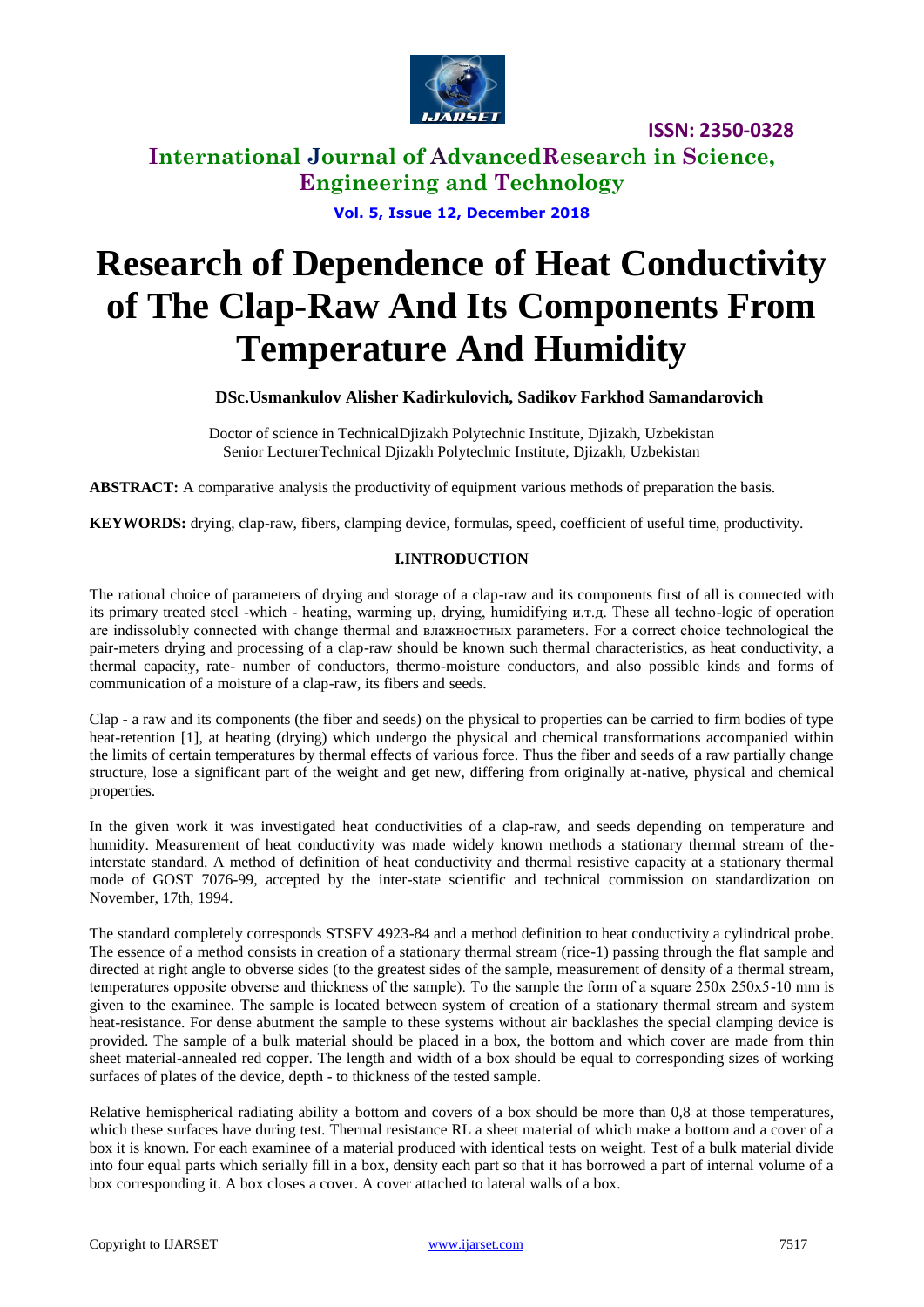

**International Journal of AdvancedResearch in Science, Engineering and Technology**

**Vol. 5, Issue 12, December 2018**

# **Research of Dependence of Heat Conductivity of The Clap-Raw And Its Components From Temperature And Humidity**

**DSc.Usmankulov Alisher Kadirkulovich, Sadikov Farkhod Samandarovich**

Doctor of science in TechnicalDjizakh Polytechnic Institute, Djizakh, Uzbekistan Senior LecturerTechnical Djizakh Polytechnic Institute, Djizakh, Uzbekistan

**ABSTRACT:** A comparative analysis the productivity of equipment various methods of preparation the basis.

**KEYWORDS:** drying, clap-raw, fibers, clamping device, formulas, speed, coefficient of useful time, productivity.

#### **I.INTRODUCTION**

The rational choice of parameters of drying and storage of a clap-raw and its components first of all is connected with its primary treated steel -which - heating, warming up, drying, humidifying и.т.д. These all techno-logic of operation are indissolubly connected with change thermal and влажностных parameters. For a correct choice technological the pair-meters drying and processing of a clap-raw should be known such thermal characteristics, as heat conductivity, a thermal capacity, rate- number of conductors, thermo-moisture conductors, and also possible kinds and forms of communication of a moisture of a clap-raw, its fibers and seeds.

Clap - a raw and its components (the fiber and seeds) on the physical to properties can be carried to firm bodies of type heat-retention [1], at heating (drying) which undergo the physical and chemical transformations accompanied within the limits of certain temperatures by thermal effects of various force. Thus the fiber and seeds of a raw partially change structure, lose a significant part of the weight and get new, differing from originally at-native, physical and chemical properties.

In the given work it was investigated heat conductivities of a clap-raw, and seeds depending on temperature and humidity. Measurement of heat conductivity was made widely known methods a stationary thermal stream of theinterstate standard. A method of definition of heat conductivity and thermal resistive capacity at a stationary thermal mode of GOST 7076-99, accepted by the inter-state scientific and technical commission on standardization on November, 17th, 1994.

The standard completely corresponds STSEV 4923-84 and a method definition to heat conductivity a cylindrical probe. The essence of a method consists in creation of a stationary thermal stream (rice-1) passing through the flat sample and directed at right angle to obverse sides (to the greatest sides of the sample, measurement of density of a thermal stream, temperatures opposite obverse and thickness of the sample). To the sample the form of a square 250х 250х5-10 mm is given to the examinee. The sample is located between system of creation of a stationary thermal stream and system heat-resistance. For dense abutment the sample to these systems without air backlashes the special clamping device is provided. The sample of a bulk material should be placed in a box, the bottom and which cover are made from thin sheet material-annealed red copper. The length and width of a box should be equal to corresponding sizes of working surfaces of plates of the device, depth - to thickness of the tested sample.

Relative hemispherical radiating ability a bottom and covers of a box should be more than 0,8 at those temperatures, which these surfaces have during test. Thermal resistance RL a sheet material of which make a bottom and a cover of a box it is known. For each examinee of a material produced with identical tests on weight. Test of a bulk material divide into four equal parts which serially fill in a box, density each part so that it has borrowed a part of internal volume of a box corresponding it. A box closes a cover. A cover attached to lateral walls of a box.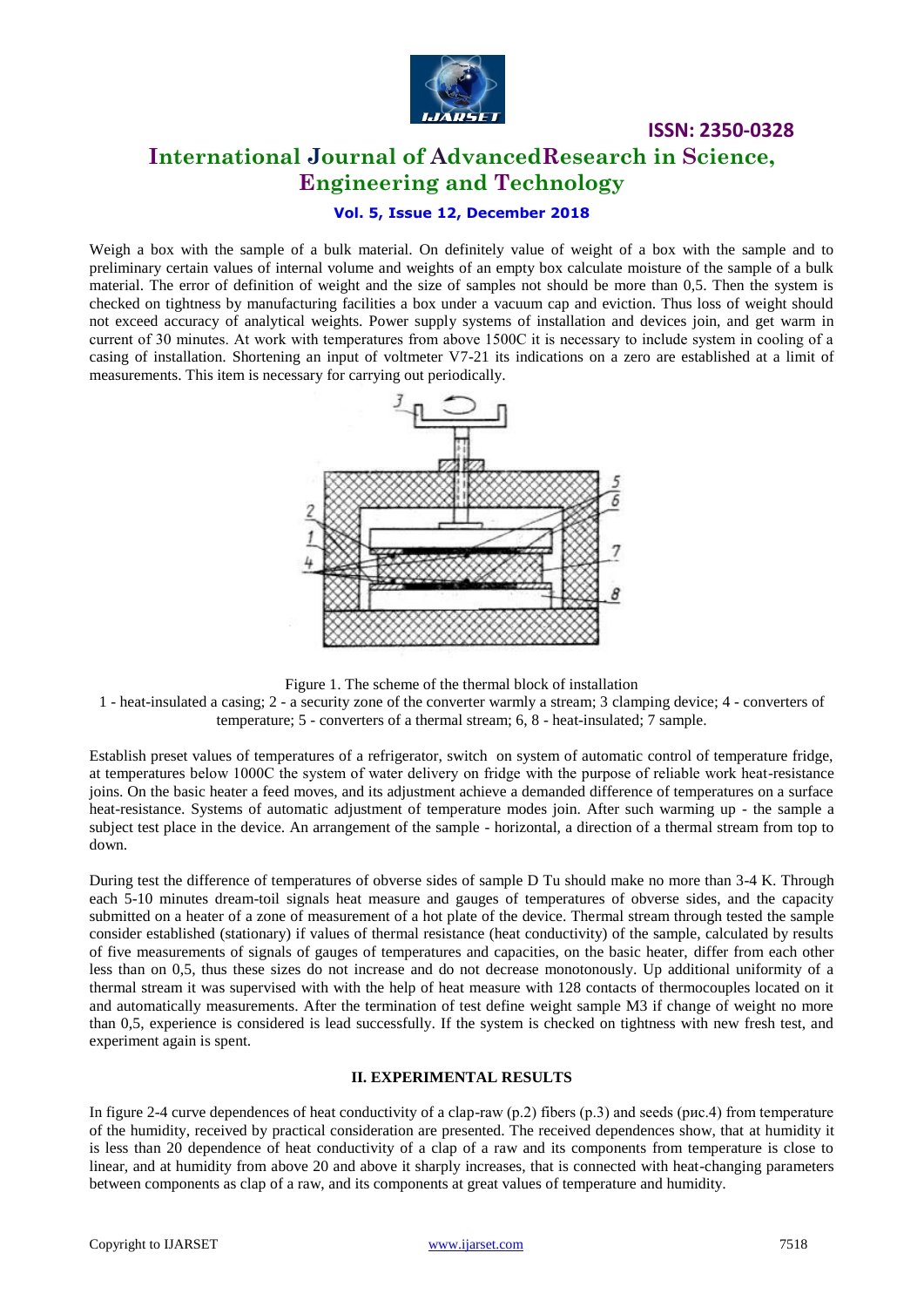

**ISSN: 2350-0328 International Journal of AdvancedResearch in Science, Engineering and Technology**

#### **Vol. 5, Issue 12, December 2018**

Weigh a box with the sample of a bulk material. On definitely value of weight of a box with the sample and to preliminary certain values of internal volume and weights of an empty box calculate moisture of the sample of a bulk material. The error of definition of weight and the size of samples not should be more than 0,5. Then the system is checked on tightness by manufacturing facilities a box under a vacuum cap and eviction. Thus loss of weight should not exceed accuracy of analytical weights. Power supply systems of installation and devices join, and get warm in current of 30 minutes. At work with temperatures from above 1500С it is necessary to include system in cooling of a casing of installation. Shortening an input of voltmeter V7-21 its indications on a zero are established at a limit of measurements. This item is necessary for carrying out periodically.



Figure 1. The scheme of the thermal block of installation

1 - heat-insulated a casing; 2 - a security zone of the converter warmly a stream; 3 clamping device; 4 - converters of temperature; 5 - converters of a thermal stream; 6, 8 - heat-insulated; 7 sample.

Establish preset values of temperatures of a refrigerator, switch on system of automatic control of temperature fridge, at temperatures below 1000С the system of water delivery on fridge with the purpose of reliable work heat-resistance joins. On the basic heater a feed moves, and its adjustment achieve a demanded difference of temperatures on a surface heat-resistance. Systems of automatic adjustment of temperature modes join. After such warming up - the sample a subject test place in the device. An arrangement of the sample - horizontal, a direction of a thermal stream from top to down.

During test the difference of temperatures of obverse sides of sample D Tu should make no more than 3-4 K. Through each 5-10 minutes dream-toil signals heat measure and gauges of temperatures of obverse sides, and the capacity submitted on a heater of a zone of measurement of a hot plate of the device. Thermal stream through tested the sample consider established (stationary) if values of thermal resistance (heat conductivity) of the sample, calculated by results of five measurements of signals of gauges of temperatures and capacities, on the basic heater, differ from each other less than on 0,5, thus these sizes do not increase and do not decrease monotonously. Up additional uniformity of a thermal stream it was supervised with with the help of heat measure with 128 contacts of thermocouples located on it and automatically measurements. After the termination of test define weight sample M3 if change of weight no more than 0,5, experience is considered is lead successfully. If the system is checked on tightness with new fresh test, and experiment again is spent.

#### **II. EXPERIMENTAL RESULTS**

In figure 2-4 curve dependences of heat conductivity of a clap-raw  $(p.2)$  fibers  $(p.3)$  and seeds (рис.4) from temperature of the humidity, received by practical consideration are presented. The received dependences show, that at humidity it is less than 20 dependence of heat conductivity of a clap of a raw and its components from temperature is close to linear, and at humidity from above 20 and above it sharply increases, that is connected with heat-changing parameters between components as clap of a raw, and its components at great values of temperature and humidity.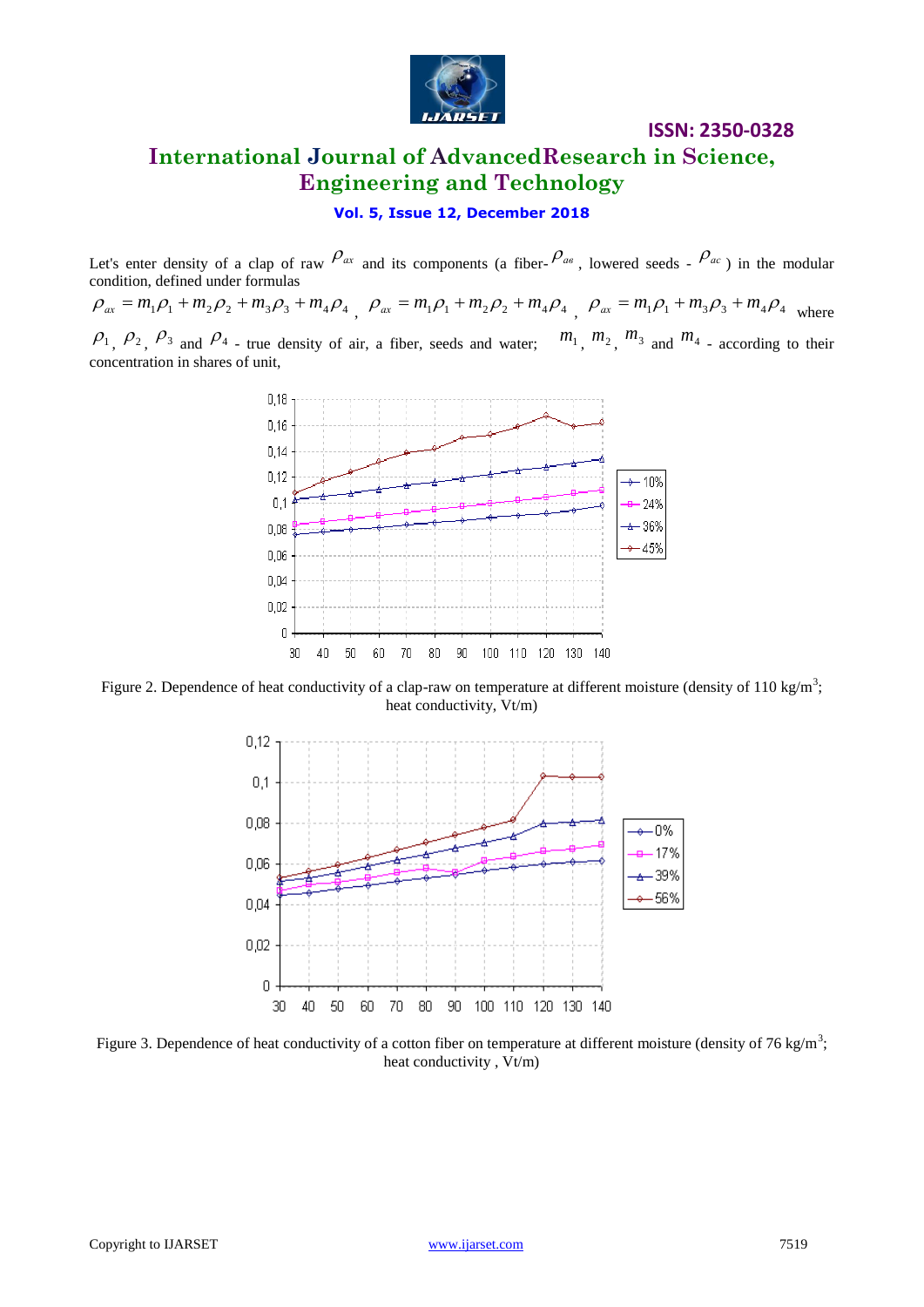

# **International Journal of AdvancedResearch in Science, Engineering and Technology**

**Vol. 5, Issue 12, December 2018**

Let's enter density of a clap of raw  $\int_{-\infty}^{\infty} a_x$  and its components (a fiber- $\int_{-\infty}^{\infty} a_x$ , lowered seeds -  $\int_{-\infty}^{\infty} a_x$ ) in the modular condition, defined under formulas

 $\rho_{ax} = m_1 \rho_1 + m_2 \rho_2 + m_3 \rho_3 + m_4 \rho_4$ ,  $\rho_{ax} = m_1 \rho_1 + m_2 \rho_2 + m_4 \rho_4$ ,  $\rho_{ax} = m_1 \rho_1 + m_3 \rho_3 + m_4 \rho_4$  where  $\rho_1$ ,  $\rho_2$ ,  $\rho_3$  and  $\rho_4$  - true density of air, a fiber, seeds and water;  $m_1$ ,  $m_2$ ,  $m_3$  and  $m_4$  - according to their concentration in shares of unit,



Figure 2. Dependence of heat conductivity of a clap-raw on temperature at different moisture (density of 110 kg/m<sup>3</sup>; heat conductivity, Vt/m)



Figure 3. Dependence of heat conductivity of a cotton fiber on temperature at different moisture (density of 76 kg/m<sup>3</sup>; heat conductivity , Vt/m)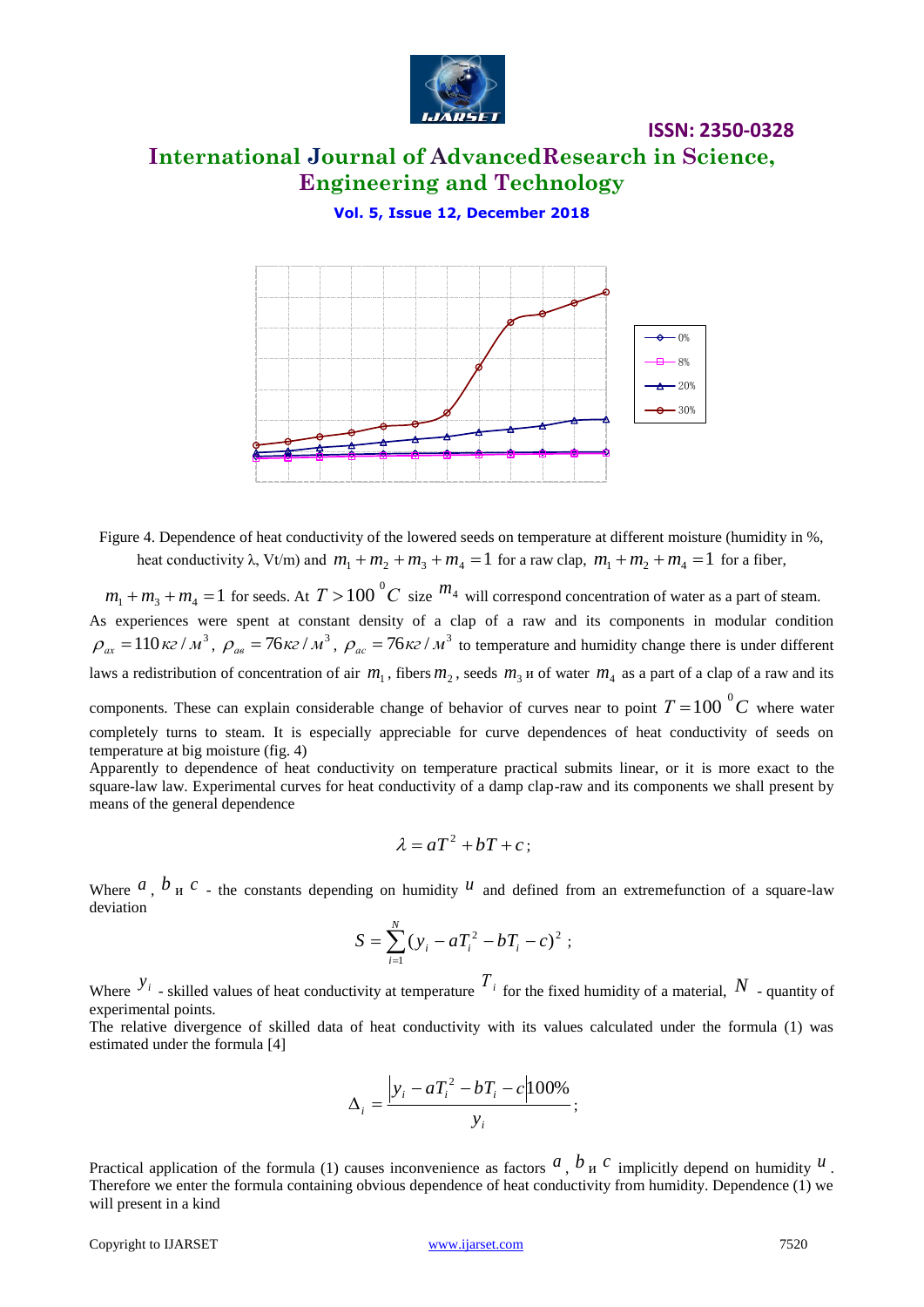

### **International Journal of AdvancedResearch in Science, Engineering and Technology**

**Vol. 5, Issue 12, December 2018**



Figure 4. Dependence of heat conductivity of the lowered seeds on temperature at different moisture (humidity in %, heat conductivity  $\lambda$ , Vt/m) and  $m_1 + m_2 + m_3 + m_4 = 1$  for a raw clap,  $m_1 + m_2 + m_4 = 1$  for a fiber,

 $m_1 + m_3 + m_4 = 1$  for seeds. At  $T > 100\degree C$  size  $m_4$  will correspond concentration of water as a part of steam. As experiences were spent at constant density of a clap of a raw and its components in modular condition  $\rho_{ax} = 110 \kappa z / m^3$ ,  $\rho_{ae} = 76 \kappa z / m^3$ ,  $\rho_{ac} = 76 \kappa z / m^3$  to temperature and humidity change there is under different laws a redistribution of concentration of air  $m_1$ , fibers  $m_2$ , seeds  $m_3$  u of water  $m_4$  as a part of a clap of a raw and its

components. These can explain considerable change of behavior of curves near to point  $T = 100\degree C$  where water completely turns to steam. It is especially appreciable for curve dependences of heat conductivity of seeds on temperature at big moisture (fig. 4)

Apparently to dependence of heat conductivity on temperature practical submits linear, or it is more exact to the square-law law. Experimental curves for heat conductivity of a damp clap-raw and its components we shall present by means of the general dependence

$$
\lambda = aT^2 + bT + c \, ;
$$

Where  $a$ ,  $b$ <sub>H</sub>  $c$  - the constants depending on humidity  $u$  and defined from an extremefunction of a square-law deviation

$$
S = \sum_{i=1}^{N} (y_i - aT_i^2 - bT_i - c)^2 ;
$$

Where  $y_i$  - skilled values of heat conductivity at temperature  $T_i$  for the fixed humidity of a material,  $N$  - quantity of experimental points.

The relative divergence of skilled data of heat conductivity with its values calculated under the formula (1) was estimated under the formula [4]

$$
\Delta_i = \frac{\left|y_i - aT_i^2 - bT_i - c\right|100\%}{y_i};
$$

Practical application of the formula (1) causes inconvenience as factors  $\alpha$ ,  $\dot{b}$  u  $\dot{c}$  implicitly depend on humidity  $\dot{u}$ . Therefore we enter the formula containing obvious dependence of heat conductivity from humidity. Dependence (1) we will present in a kind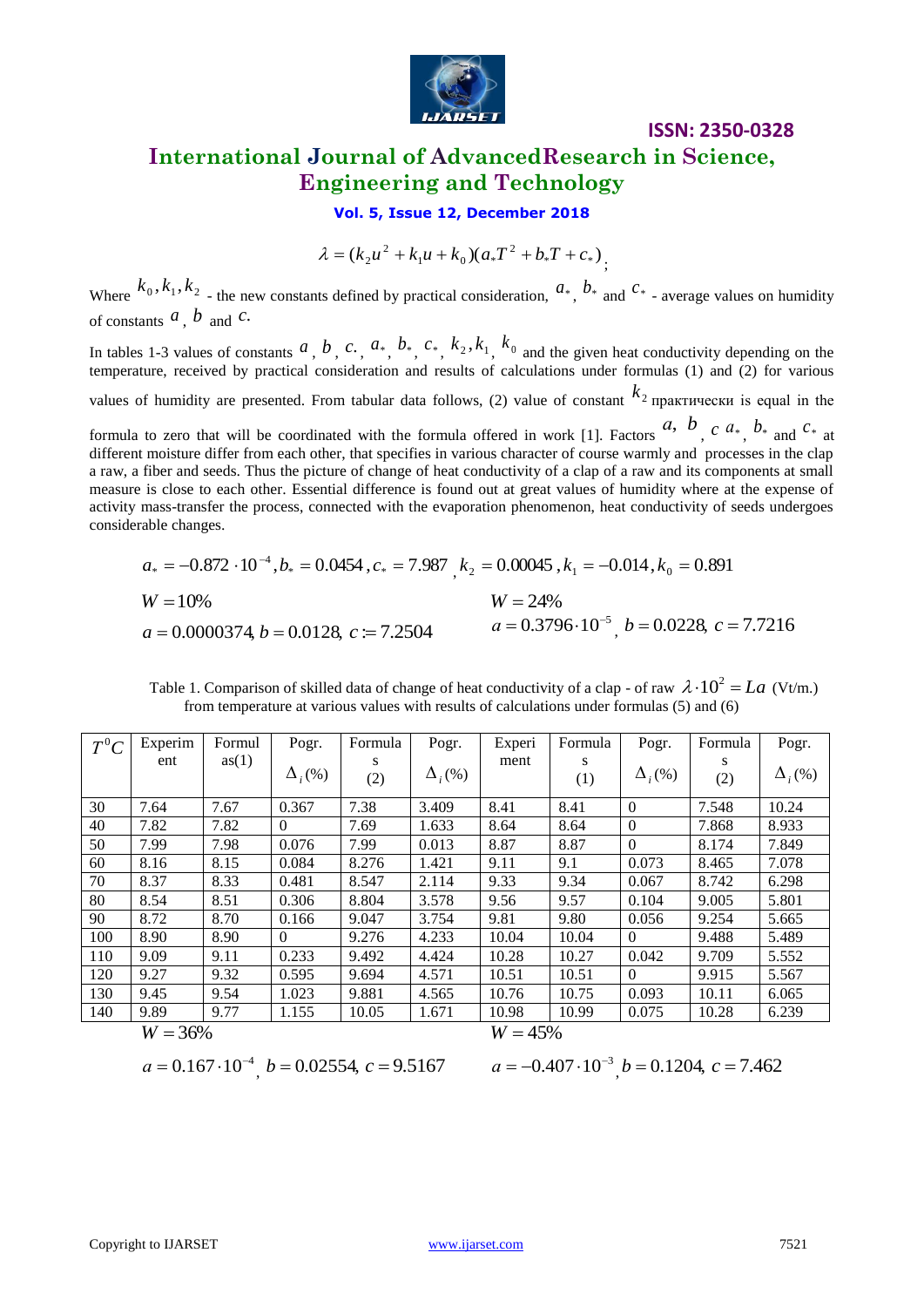

### **ISSN: 2350-0328 International Journal of AdvancedResearch in Science, Engineering and Technology**

**Vol. 5, Issue 12, December 2018**

2  $n_1 u + n_0 u$  $\lambda = (k_2 u^2 + k_1 u + k_0)(a_* T^2 + b_* T + c_*)$ 

$$
a_* = -0.872 \cdot 10^{-4}, b_* = 0.0454, c_* = 7.987, k_2 = 0.00045, k_1 = -0.014, k_0 = 0.891
$$
  
\n
$$
W = 10\%
$$
  
\n
$$
W = 24\%
$$
  
\n
$$
a = 0.0000374, b = 0.0128, c := 7.2504
$$
  
\n
$$
a = 0.3796 \cdot 10^{-5}, b = 0.0228, c = 7.7216
$$

| Table 1. Comparison of skilled data of change of heat conductivity of a clap - of raw $\lambda \cdot 10^2 = La$ (Vt/m.) |
|-------------------------------------------------------------------------------------------------------------------------|
| from temperature at various values with results of calculations under formulas (5) and (6)                              |

| $\lambda = (k_2 u^2 + k_1 u + k_0)(a_* T^2 + b_* T + c_*)$                                                                                                                                                                                                                                                                                                                                                                                                                                                                                                                                                                                                   |                                                                                                                     |              |                |                                         |                |                |                                                                                                                                                                                                                       |                   |                |                |  |  |
|--------------------------------------------------------------------------------------------------------------------------------------------------------------------------------------------------------------------------------------------------------------------------------------------------------------------------------------------------------------------------------------------------------------------------------------------------------------------------------------------------------------------------------------------------------------------------------------------------------------------------------------------------------------|---------------------------------------------------------------------------------------------------------------------|--------------|----------------|-----------------------------------------|----------------|----------------|-----------------------------------------------------------------------------------------------------------------------------------------------------------------------------------------------------------------------|-------------------|----------------|----------------|--|--|
| Where $k_0, k_1, k_2$ - the new constants defined by practical consideration, $a_{*}$ , $b_{*}$ and $c_{*}$ - average values on humidity<br>of constants $a, b$ and $c$ .                                                                                                                                                                                                                                                                                                                                                                                                                                                                                    |                                                                                                                     |              |                |                                         |                |                |                                                                                                                                                                                                                       |                   |                |                |  |  |
| In tables 1-3 values of constants $a, b, c, a^*, b^*, c^*, k_2, k_1, k_0$ and the given heat conductivity depending on the<br>temperature, received by practical consideration and results of calculations under formulas (1) and (2) for various                                                                                                                                                                                                                                                                                                                                                                                                            |                                                                                                                     |              |                |                                         |                |                |                                                                                                                                                                                                                       |                   |                |                |  |  |
| values of humidity are presented. From tabular data follows, (2) value of constant $k_2$ практически is equal in the                                                                                                                                                                                                                                                                                                                                                                                                                                                                                                                                         |                                                                                                                     |              |                |                                         |                |                |                                                                                                                                                                                                                       |                   |                |                |  |  |
|                                                                                                                                                                                                                                                                                                                                                                                                                                                                                                                                                                                                                                                              |                                                                                                                     |              |                |                                         |                |                |                                                                                                                                                                                                                       |                   |                |                |  |  |
| formula to zero that will be coordinated with the formula offered in work [1]. Factors $a, b, c, a^*$ , $b^*$ and $c^*$ at<br>different moisture differ from each other, that specifies in various character of course warmly and processes in the clap<br>a raw, a fiber and seeds. Thus the picture of change of heat conductivity of a clap of a raw and its components at small<br>measure is close to each other. Essential difference is found out at great values of humidity where at the expense of<br>activity mass-transfer the process, connected with the evaporation phenomenon, heat conductivity of seeds undergoes<br>considerable changes. |                                                                                                                     |              |                |                                         |                |                |                                                                                                                                                                                                                       |                   |                |                |  |  |
|                                                                                                                                                                                                                                                                                                                                                                                                                                                                                                                                                                                                                                                              | $a_* = -0.872 \cdot 10^{-4}$ , $b_* = 0.0454$ , $c_* = 7.987$ , $k_2 = 0.00045$ , $k_1 = -0.014$ , $k_0 = 0.891$    |              |                |                                         |                |                |                                                                                                                                                                                                                       |                   |                |                |  |  |
|                                                                                                                                                                                                                                                                                                                                                                                                                                                                                                                                                                                                                                                              | $W = 10%$<br>$W = 24\%$                                                                                             |              |                |                                         |                |                |                                                                                                                                                                                                                       |                   |                |                |  |  |
|                                                                                                                                                                                                                                                                                                                                                                                                                                                                                                                                                                                                                                                              |                                                                                                                     |              |                |                                         |                |                | $a = 0.3796 \cdot 10^{-5}$ , $b = 0.0228$ , $c = 7.7216$                                                                                                                                                              |                   |                |                |  |  |
|                                                                                                                                                                                                                                                                                                                                                                                                                                                                                                                                                                                                                                                              |                                                                                                                     |              |                | $a = 0.0000374, b = 0.0128, c = 7.2504$ |                |                |                                                                                                                                                                                                                       |                   |                |                |  |  |
|                                                                                                                                                                                                                                                                                                                                                                                                                                                                                                                                                                                                                                                              |                                                                                                                     |              |                |                                         |                |                | Table 1. Comparison of skilled data of change of heat conductivity of a clap - of raw $\lambda \cdot 10^2 = La$ (Vt/m.)<br>from temperature at various values with results of calculations under formulas (5) and (6) |                   |                |                |  |  |
| $T^0C$                                                                                                                                                                                                                                                                                                                                                                                                                                                                                                                                                                                                                                                       | Experim                                                                                                             | Formul       | Pogr.          | Formula                                 | Pogr.          | Experi         | Formula                                                                                                                                                                                                               | Pogr.             | Formula        | Pogr.          |  |  |
|                                                                                                                                                                                                                                                                                                                                                                                                                                                                                                                                                                                                                                                              | ent                                                                                                                 | as(1)        | $\Delta_i$ (%) | S<br>(2)                                | $\Delta_i$ (%) | ment           | S<br>(1)                                                                                                                                                                                                              | $\Delta_i$ (%)    | S<br>(2)       | $\Delta_i$ (%) |  |  |
| $30\,$                                                                                                                                                                                                                                                                                                                                                                                                                                                                                                                                                                                                                                                       | 7.64                                                                                                                | 7.67         | 0.367          | 7.38                                    | 3.409          | 8.41           | 8.41                                                                                                                                                                                                                  | $\boldsymbol{0}$  | 7.548          | 10.24          |  |  |
| 40                                                                                                                                                                                                                                                                                                                                                                                                                                                                                                                                                                                                                                                           | 7.82                                                                                                                | 7.82         | $\theta$       | 7.69                                    | 1.633          | 8.64           | 8.64                                                                                                                                                                                                                  | $\mathbf{0}$      | 7.868          | 8.933          |  |  |
| 50                                                                                                                                                                                                                                                                                                                                                                                                                                                                                                                                                                                                                                                           | 7.99                                                                                                                | 7.98         | 0.076          | 7.99                                    | 0.013          | 8.87           | 8.87                                                                                                                                                                                                                  | $\theta$          | 8.174          | 7.849          |  |  |
| 60                                                                                                                                                                                                                                                                                                                                                                                                                                                                                                                                                                                                                                                           | 8.16                                                                                                                | 8.15         | 0.084          | 8.276                                   | 1.421          | 9.11           | 9.1                                                                                                                                                                                                                   | 0.073             | 8.465          | 7.078          |  |  |
| 70                                                                                                                                                                                                                                                                                                                                                                                                                                                                                                                                                                                                                                                           | 8.37                                                                                                                | 8.33         | 0.481          | 8.547                                   | 2.114          | 9.33           | 9.34                                                                                                                                                                                                                  | 0.067             | 8.742          | 6.298          |  |  |
| 80                                                                                                                                                                                                                                                                                                                                                                                                                                                                                                                                                                                                                                                           | 8.54                                                                                                                | 8.51         | 0.306          | 8.804                                   | 3.578          | 9.56           | 9.57                                                                                                                                                                                                                  | 0.104             | 9.005          | 5.801          |  |  |
| 90                                                                                                                                                                                                                                                                                                                                                                                                                                                                                                                                                                                                                                                           | 8.72                                                                                                                | 8.70         | 0.166          | 9.047                                   | 3.754          | 9.81           | 9.80                                                                                                                                                                                                                  | 0.056             | 9.254          | 5.665          |  |  |
| 100                                                                                                                                                                                                                                                                                                                                                                                                                                                                                                                                                                                                                                                          | 8.90                                                                                                                | 8.90         | $\overline{0}$ | 9.276                                   | 4.233          | 10.04          | 10.04                                                                                                                                                                                                                 | $\boldsymbol{0}$  | 9.488          | 5.489          |  |  |
| 110                                                                                                                                                                                                                                                                                                                                                                                                                                                                                                                                                                                                                                                          | 9.09                                                                                                                | 9.11         | 0.233          | 9.492                                   | 4.424          | 10.28          | 10.27                                                                                                                                                                                                                 | 0.042             | 9.709          | 5.552          |  |  |
| 120<br>130                                                                                                                                                                                                                                                                                                                                                                                                                                                                                                                                                                                                                                                   | 9.27<br>9.45                                                                                                        | 9.32         | 0.595          | 9.694<br>9.881                          | 4.571          | 10.51<br>10.76 | 10.51<br>10.75                                                                                                                                                                                                        | $\bf{0}$<br>0.093 | 9.915          | 5.567          |  |  |
| 140                                                                                                                                                                                                                                                                                                                                                                                                                                                                                                                                                                                                                                                          | 9.89                                                                                                                | 9.54<br>9.77 | 1.023<br>1.155 | 10.05                                   | 4.565<br>1.671 | 10.98          | 10.99                                                                                                                                                                                                                 | 0.075             | 10.11<br>10.28 | 6.065<br>6.239 |  |  |
|                                                                                                                                                                                                                                                                                                                                                                                                                                                                                                                                                                                                                                                              | $W = 36\%$                                                                                                          |              |                |                                         |                | $W = 45%$      |                                                                                                                                                                                                                       |                   |                |                |  |  |
|                                                                                                                                                                                                                                                                                                                                                                                                                                                                                                                                                                                                                                                              |                                                                                                                     |              |                |                                         |                |                |                                                                                                                                                                                                                       |                   |                |                |  |  |
|                                                                                                                                                                                                                                                                                                                                                                                                                                                                                                                                                                                                                                                              | $a = 0.167 \cdot 10^{-4}$ , $b = 0.02554$ , $c = 9.5167$<br>$a = -0.407 \cdot 10^{-3}$ , $b = 0.1204$ , $c = 7.462$ |              |                |                                         |                |                |                                                                                                                                                                                                                       |                   |                |                |  |  |
|                                                                                                                                                                                                                                                                                                                                                                                                                                                                                                                                                                                                                                                              | Copyright to IJARSET<br>www.ijarset.com<br>7521                                                                     |              |                |                                         |                |                |                                                                                                                                                                                                                       |                   |                |                |  |  |

$$
W = 36\%
$$
  
 
$$
W = 45\%
$$
  
 
$$
a = 0.167 \cdot 10^{-4}, b = 0.02554, c = 9.5167
$$
  
 
$$
a = -0.40
$$

$$
\frac{1}{2}
$$

$$
a = -0.407 \cdot 10^{-3}, b = 0.1204, c = 7.462
$$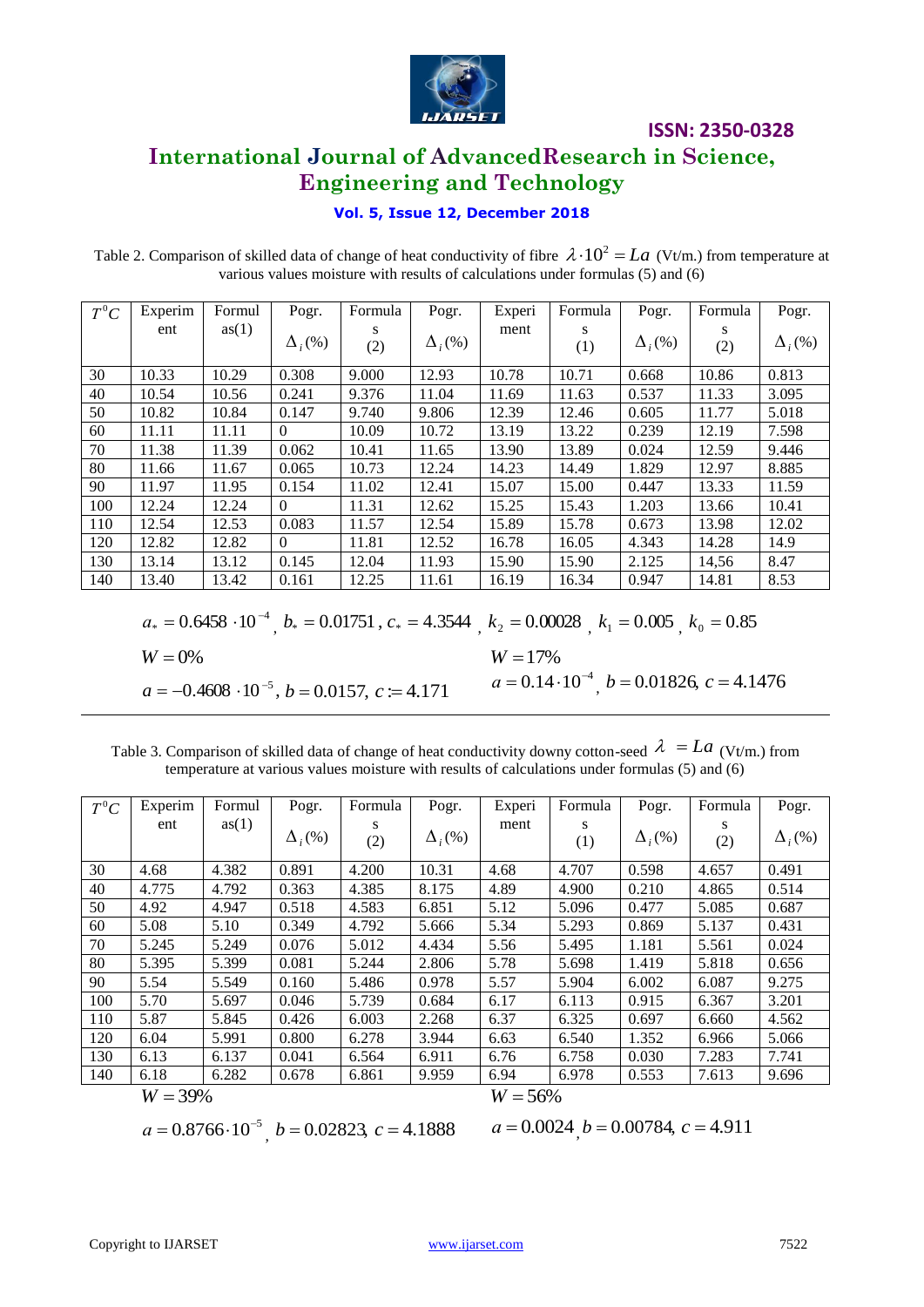

### **International Journal of AdvancedResearch in Science, Engineering and Technology**

#### **Vol. 5, Issue 12, December 2018**

Table 2. Comparison of skilled data of change of heat conductivity of fibre  $\lambda \cdot 10^2 = La$  (Vt/m.) from temperature at various values moisture with results of calculations under formulas (5) and (6)

| $T^0C$ | Experim | Formul | Pogr.          | Formula  | Pogr.          | Experi | Formula  | Pogr.                     | Formula  | Pogr.          |
|--------|---------|--------|----------------|----------|----------------|--------|----------|---------------------------|----------|----------------|
|        | ent     | as(1)  | $\Delta_i$ (%) | S<br>(2) | $\Delta_i$ (%) | ment   | S<br>(1) | $\Delta$ <sub>i</sub> (%) | S<br>(2) | $\Delta$ , (%) |
| 30     | 10.33   | 10.29  | 0.308          | 9.000    | 12.93          | 10.78  | 10.71    | 0.668                     | 10.86    | 0.813          |
| 40     | 10.54   | 10.56  | 0.241          | 9.376    | 11.04          | 11.69  | 11.63    | 0.537                     | 11.33    | 3.095          |
| 50     | 10.82   | 10.84  | 0.147          | 9.740    | 9.806          | 12.39  | 12.46    | 0.605                     | 11.77    | 5.018          |
| 60     | 11.11   | 11.11  | $\Omega$       | 10.09    | 10.72          | 13.19  | 13.22    | 0.239                     | 12.19    | 7.598          |
| 70     | 11.38   | 11.39  | 0.062          | 10.41    | 11.65          | 13.90  | 13.89    | 0.024                     | 12.59    | 9.446          |
| 80     | 11.66   | 11.67  | 0.065          | 10.73    | 12.24          | 14.23  | 14.49    | 1.829                     | 12.97    | 8.885          |
| 90     | 11.97   | 11.95  | 0.154          | 11.02    | 12.41          | 15.07  | 15.00    | 0.447                     | 13.33    | 11.59          |
| 100    | 12.24   | 12.24  | $\Omega$       | 11.31    | 12.62          | 15.25  | 15.43    | 1.203                     | 13.66    | 10.41          |
| 110    | 12.54   | 12.53  | 0.083          | 11.57    | 12.54          | 15.89  | 15.78    | 0.673                     | 13.98    | 12.02          |
| 120    | 12.82   | 12.82  | $\theta$       | 11.81    | 12.52          | 16.78  | 16.05    | 4.343                     | 14.28    | 14.9           |
| 130    | 13.14   | 13.12  | 0.145          | 12.04    | 11.93          | 15.90  | 15.90    | 2.125                     | 14,56    | 8.47           |
| 140    | 13.40   | 13.42  | 0.161          | 12.25    | 11.61          | 16.19  | 16.34    | 0.947                     | 14.81    | 8.53           |
|        |         |        |                |          |                |        |          |                           |          |                |

$$
a_* = 0.6458 \cdot 10^{-4}
$$
,  $b_* = 0.01751$ ,  $c_* = 4.3544$ ,  $k_2 = 0.00028$ ,  $k_1 = 0.005$ ,  $k_0 = 0.85$ 

 $W = 0\%$  $W = 0\%$ <br>  $a = -0.4608 \cdot 10^{-5}$ ,  $b = 0.0157$ ,  $c := 4.171$ <br>  $a = 0.14$  $a = 0.14 \cdot 10^{-4}$ ,  $b = 0.01826$ ,  $c = 4.1476$ 

Table 3. Comparison of skilled data of change of heat conductivity downy cotton-seed  $\lambda = La$  (Vt/m.) from temperature at various values moisture with results of calculations under formulas (5) and (6)

| $T^0C$ | Experim                            | Formul | Pogr.          | Formula | Pogr.          | Experi                                    | Formula | Pogr.          | Formula | Pogr.          |
|--------|------------------------------------|--------|----------------|---------|----------------|-------------------------------------------|---------|----------------|---------|----------------|
|        | ent                                | as(1)  | $\Delta_i$ (%) | S       | $\Delta_i$ (%) | ment                                      | S       | $\Delta_i$ (%) | S       | $\Delta_i$ (%) |
|        |                                    |        |                | (2)     |                |                                           | (1)     |                | (2)     |                |
| 30     | 4.68                               | 4.382  | 0.891          | 4.200   | 10.31          | 4.68                                      | 4.707   | 0.598          | 4.657   | 0.491          |
| 40     | 4.775                              | 4.792  | 0.363          | 4.385   | 8.175          | 4.89                                      | 4.900   | 0.210          | 4.865   | 0.514          |
| 50     | 4.92                               | 4.947  | 0.518          | 4.583   | 6.851          | 5.12                                      | 5.096   | 0.477          | 5.085   | 0.687          |
| 60     | 5.08                               | 5.10   | 0.349          | 4.792   | 5.666          | 5.34                                      | 5.293   | 0.869          | 5.137   | 0.431          |
| 70     | 5.245                              | 5.249  | 0.076          | 5.012   | 4.434          | 5.56                                      | 5.495   | 1.181          | 5.561   | 0.024          |
| 80     | 5.395                              | 5.399  | 0.081          | 5.244   | 2.806          | 5.78                                      | 5.698   | 1.419          | 5.818   | 0.656          |
| 90     | 5.54                               | 5.549  | 0.160          | 5.486   | 0.978          | 5.57                                      | 5.904   | 6.002          | 6.087   | 9.275          |
| 100    | 5.70                               | 5.697  | 0.046          | 5.739   | 0.684          | 6.17                                      | 6.113   | 0.915          | 6.367   | 3.201          |
| 110    | 5.87                               | 5.845  | 0.426          | 6.003   | 2.268          | 6.37                                      | 6.325   | 0.697          | 6.660   | 4.562          |
| 120    | 6.04                               | 5.991  | 0.800          | 6.278   | 3.944          | 6.63                                      | 6.540   | 1.352          | 6.966   | 5.066          |
| 130    | 6.13                               | 6.137  | 0.041          | 6.564   | 6.911          | 6.76                                      | 6.758   | 0.030          | 7.283   | 7.741          |
| 140    | 6.18                               | 6.282  | 0.678          | 6.861   | 9.959          | 6.94                                      | 6.978   | 0.553          | 7.613   | 9.696          |
|        | <b>TTT</b><br>$\sim$ $\sim$ $\sim$ |        |                |         |                | <b>TTT</b><br>$\sim$ $\sim$ $\sim$ $\sim$ |         |                |         |                |

$$
W=39\%
$$

*W* = 39%<br>  $a = 0.8766 \cdot 10^{-5}$ , *b* = 0.02823, *c* = 4.1888 *a* = 0.0024, *b* = 0.00784, *c* = 4.911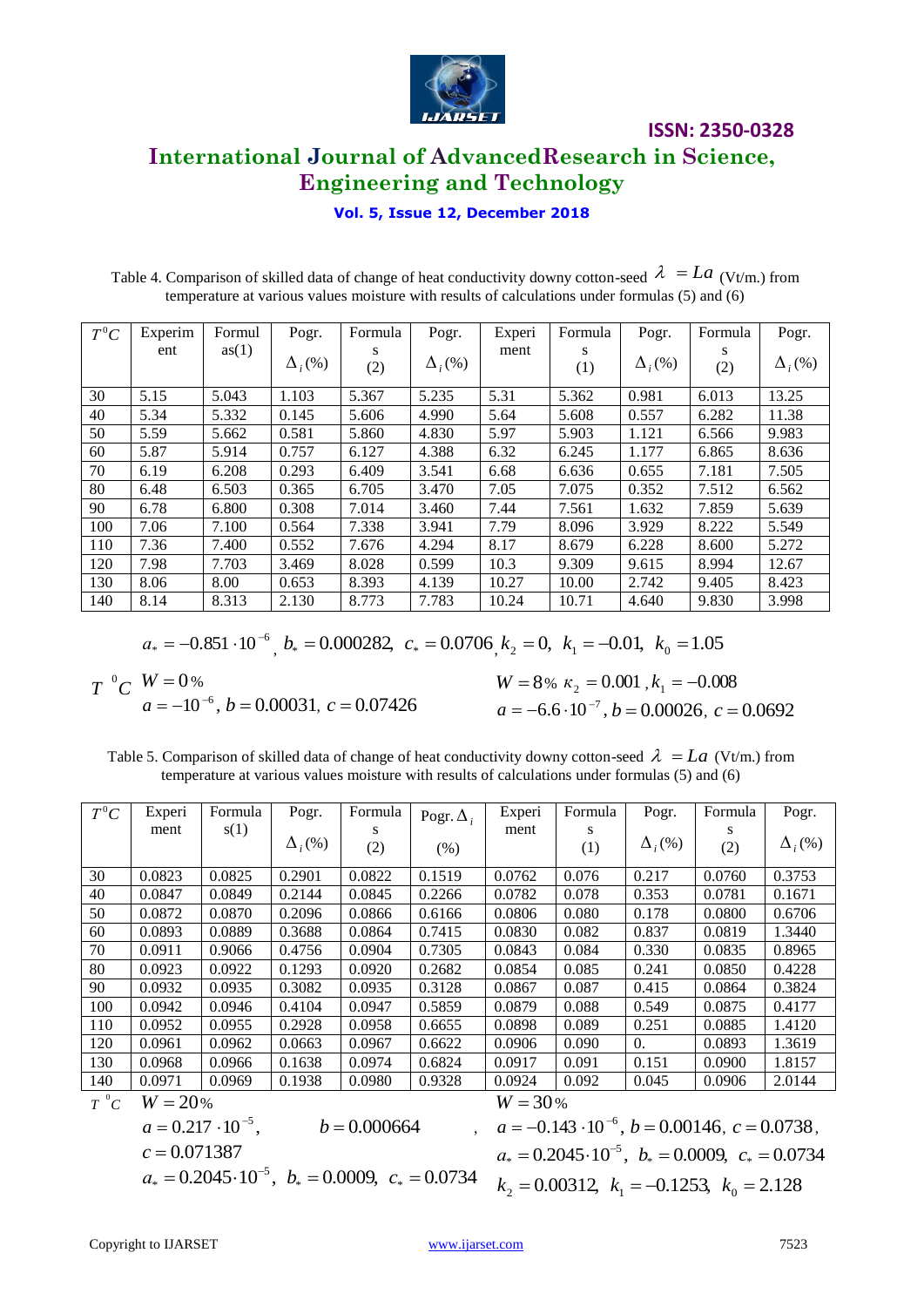

### **International Journal of AdvancedResearch in Science, Engineering and Technology**

**Vol. 5, Issue 12, December 2018**

Table 4. Comparison of skilled data of change of heat conductivity downy cotton-seed  $\lambda = La$  (Vt/m.) from temperature at various values moisture with results of calculations under formulas (5) and (6)

| $T^0C$ | Experim | Formul | Pogr.          | Formula  | Pogr.          | Experi | Formula  | Pogr.          | Formula  | Pogr.                     |
|--------|---------|--------|----------------|----------|----------------|--------|----------|----------------|----------|---------------------------|
|        | ent     | as(1)  | $\Delta_i$ (%) | S<br>(2) | $\Delta_i$ (%) | ment   | S<br>(1) | $\Delta_i$ (%) | S<br>(2) | $\Delta$ <sub>i</sub> (%) |
| 30     | 5.15    | 5.043  | 1.103          | 5.367    | 5.235          | 5.31   | 5.362    | 0.981          | 6.013    | 13.25                     |
| 40     | 5.34    | 5.332  | 0.145          | 5.606    | 4.990          | 5.64   | 5.608    | 0.557          | 6.282    | 11.38                     |
| 50     | 5.59    | 5.662  | 0.581          | 5.860    | 4.830          | 5.97   | 5.903    | 1.121          | 6.566    | 9.983                     |
| 60     | 5.87    | 5.914  | 0.757          | 6.127    | 4.388          | 6.32   | 6.245    | 1.177          | 6.865    | 8.636                     |
| 70     | 6.19    | 6.208  | 0.293          | 6.409    | 3.541          | 6.68   | 6.636    | 0.655          | 7.181    | 7.505                     |
| 80     | 6.48    | 6.503  | 0.365          | 6.705    | 3.470          | 7.05   | 7.075    | 0.352          | 7.512    | 6.562                     |
| 90     | 6.78    | 6.800  | 0.308          | 7.014    | 3.460          | 7.44   | 7.561    | 1.632          | 7.859    | 5.639                     |
| 100    | 7.06    | 7.100  | 0.564          | 7.338    | 3.941          | 7.79   | 8.096    | 3.929          | 8.222    | 5.549                     |
| 110    | 7.36    | 7.400  | 0.552          | 7.676    | 4.294          | 8.17   | 8.679    | 6.228          | 8.600    | 5.272                     |
| 120    | 7.98    | 7.703  | 3.469          | 8.028    | 0.599          | 10.3   | 9.309    | 9.615          | 8.994    | 12.67                     |
| 130    | 8.06    | 8.00   | 0.653          | 8.393    | 4.139          | 10.27  | 10.00    | 2.742          | 9.405    | 8.423                     |
| 140    | 8.14    | 8.313  | 2.130          | 8.773    | 7.783          | 10.24  | 10.71    | 4.640          | 9.830    | 3.998                     |

$$
a_* = -0.851 \cdot 10^{-6}
$$
,  $b_* = 0.000282$ ,  $c_* = 0.0706$ ,  $k_2 = 0$ ,  $k_1 = -0.01$ ,  $k_0 = 1.05$ 

 $T \ ^0C \ ^W = 0$  %  $W = 0$ %<br>  $a = -10^{-6}$ ,  $b = 0.00031$ ,  $c = 0.07426$ <br>  $a = -6$ 

%  $\kappa_2 = 0.001$ ,  $k_1 = -0.008$  $a = -6.6 \cdot 10^{-7}$ ,  $b = 0.00026$ ,  $c = 0.0692$ 

Table 5. Comparison of skilled data of change of heat conductivity downy cotton-seed  $\lambda = La$  (Vt/m.) from temperature at various values moisture with results of calculations under formulas (5) and (6)

| $T^0C$   | Experi    | Formula | Pogr.          | Formula | Pogr. $\Delta_i$ | Experi | Formula | Pogr.                     | Formula | Pogr.          |  |
|----------|-----------|---------|----------------|---------|------------------|--------|---------|---------------------------|---------|----------------|--|
|          | ment      | s(1)    |                | S       |                  | ment   | S       |                           | S       |                |  |
|          |           |         | $\Delta_i$ (%) | (2)     | (% )             |        | (1)     | $\Delta$ <sub>i</sub> (%) | (2)     | $\Delta_i$ (%) |  |
|          |           |         |                |         |                  |        |         |                           |         |                |  |
| 30       | 0.0823    | 0.0825  | 0.2901         | 0.0822  | 0.1519           | 0.0762 | 0.076   | 0.217                     | 0.0760  | 0.3753         |  |
| 40       | 0.0847    | 0.0849  | 0.2144         | 0.0845  | 0.2266           | 0.0782 | 0.078   | 0.353                     | 0.0781  | 0.1671         |  |
| 50       | 0.0872    | 0.0870  | 0.2096         | 0.0866  | 0.6166           | 0.0806 | 0.080   | 0.178                     | 0.0800  | 0.6706         |  |
| 60       | 0.0893    | 0.0889  | 0.3688         | 0.0864  | 0.7415           | 0.0830 | 0.082   | 0.837                     | 0.0819  | 1.3440         |  |
| 70       | 0.0911    | 0.9066  | 0.4756         | 0.0904  | 0.7305           | 0.0843 | 0.084   | 0.330                     | 0.0835  | 0.8965         |  |
| 80       | 0.0923    | 0.0922  | 0.1293         | 0.0920  | 0.2682           | 0.0854 | 0.085   | 0.241                     | 0.0850  | 0.4228         |  |
| 90       | 0.0932    | 0.0935  | 0.3082         | 0.0935  | 0.3128           | 0.0867 | 0.087   | 0.415                     | 0.0864  | 0.3824         |  |
| 100      | 0.0942    | 0.0946  | 0.4104         | 0.0947  | 0.5859           | 0.0879 | 0.088   | 0.549                     | 0.0875  | 0.4177         |  |
| 110      | 0.0952    | 0.0955  | 0.2928         | 0.0958  | 0.6655           | 0.0898 | 0.089   | 0.251                     | 0.0885  | 1.4120         |  |
| 120      | 0.0961    | 0.0962  | 0.0663         | 0.0967  | 0.6622           | 0.0906 | 0.090   | 0.                        | 0.0893  | 1.3619         |  |
| 130      | 0.0968    | 0.0966  | 0.1638         | 0.0974  | 0.6824           | 0.0917 | 0.091   | 0.151                     | 0.0900  | 1.8157         |  |
| 140      | 0.0971    | 0.0969  | 0.1938         | 0.0980  | 0.9328           | 0.0924 | 0.092   | 0.045                     | 0.0906  | 2.0144         |  |
| $T\ ^0C$ | $W = 20%$ |         |                |         | $W = 30\%$       |        |         |                           |         |                |  |

$$
a = 0.217 \cdot 10^{-5}
$$
,  $b = 0.000664$ ,  
\n $c = 0.071387$   
\n $a_* = 0.2045 \cdot 10^{-5}$ ,  $b_* = 0.0009$ ,  $c_* = 0.0734$ 

<sup>5</sup>,  $b_* = 0.0009$ ,  $c_* = 0.0734$   $k_2 = 0.00312$ ,  $k_1 = -0.1253$ ,  $k_0 = 2.128$  $a = -0.143 \cdot 10^{-6}$ ,  $b = 0.00146$ ,  $c = 0.0738$ ,  $a_* = 0.2045 \cdot 10^{-5}, b_* = 0.0009, c_* = 0.0734$